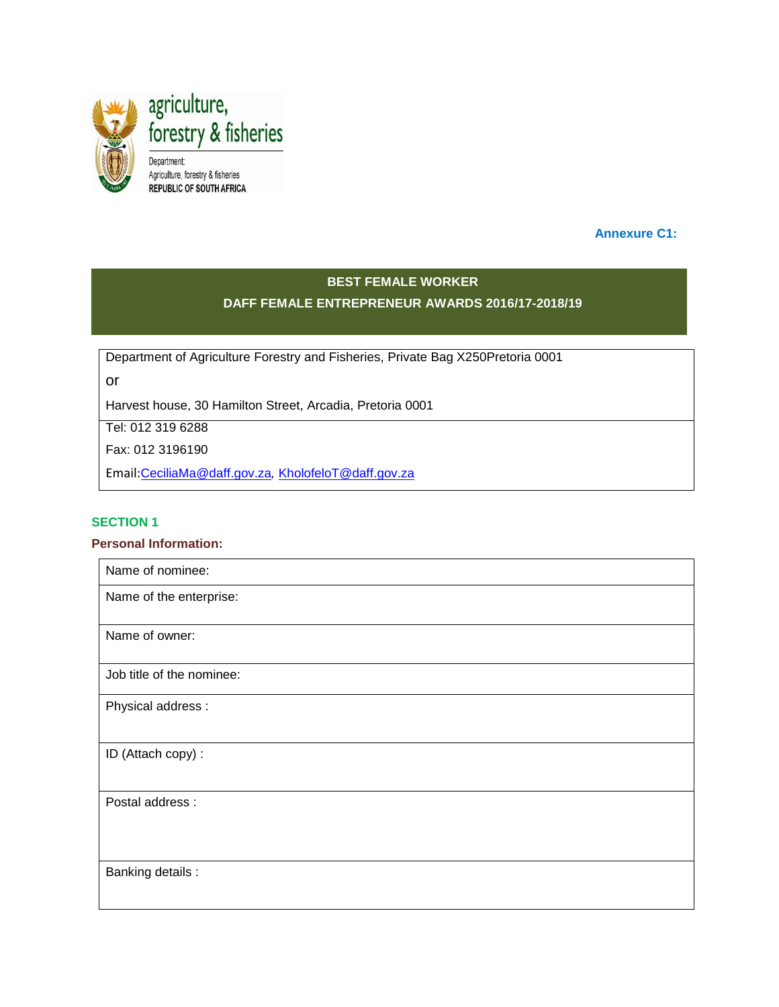

 **Annexure C1:** 

# **BEST FEMALE WORKER**

## **DAFF FEMALE ENTREPRENEUR AWARDS 2016/17-2018/19**

Department of Agriculture Forestry and Fisheries, Private Bag X250Pretoria 0001

or

Harvest house, 30 Hamilton Street, Arcadia, Pretoria 0001

Tel: 012 319 6288

Fax: 012 3196190

Email:[CeciliaMa@daff.gov.za](mailto:CeciliaMa@daff.gov.za)*,* [KholofeloT@daff.gov.za](mailto:KholofeloT@daff.gov.za)

#### **SECTION 1**

#### **Personal Information:**

| Name of nominee:          |
|---------------------------|
| Name of the enterprise:   |
|                           |
| Name of owner:            |
| Job title of the nominee: |
| Physical address :        |
|                           |
| ID (Attach copy) :        |
|                           |
| Postal address :          |
|                           |
|                           |
| Banking details :         |
|                           |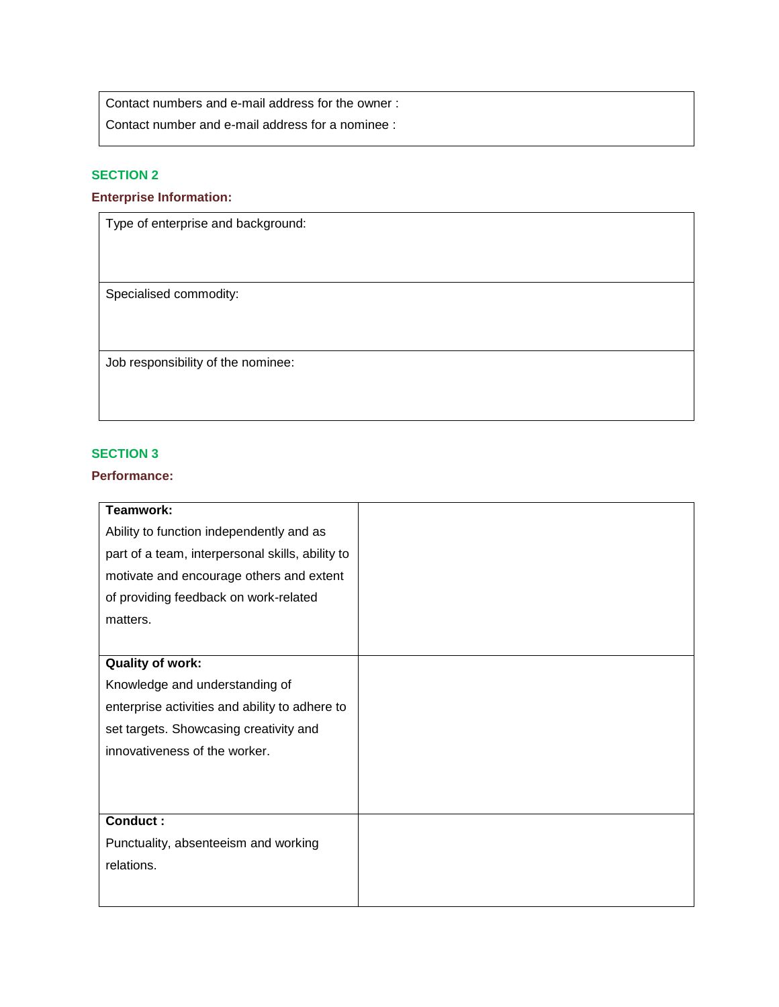Contact numbers and e-mail address for the owner :

Contact number and e-mail address for a nominee :

## **SECTION 2**

## **Enterprise Information:**

Type of enterprise and background:

Specialised commodity:

Job responsibility of the nominee:

#### **SECTION 3**

### **Performance:**

| Teamwork:                                        |  |
|--------------------------------------------------|--|
| Ability to function independently and as         |  |
| part of a team, interpersonal skills, ability to |  |
| motivate and encourage others and extent         |  |
| of providing feedback on work-related            |  |
| matters.                                         |  |
|                                                  |  |
| <b>Quality of work:</b>                          |  |
| Knowledge and understanding of                   |  |
| enterprise activities and ability to adhere to   |  |
| set targets. Showcasing creativity and           |  |
| innovativeness of the worker.                    |  |
|                                                  |  |
|                                                  |  |
| <b>Conduct:</b>                                  |  |
| Punctuality, absenteeism and working             |  |
| relations.                                       |  |
|                                                  |  |
|                                                  |  |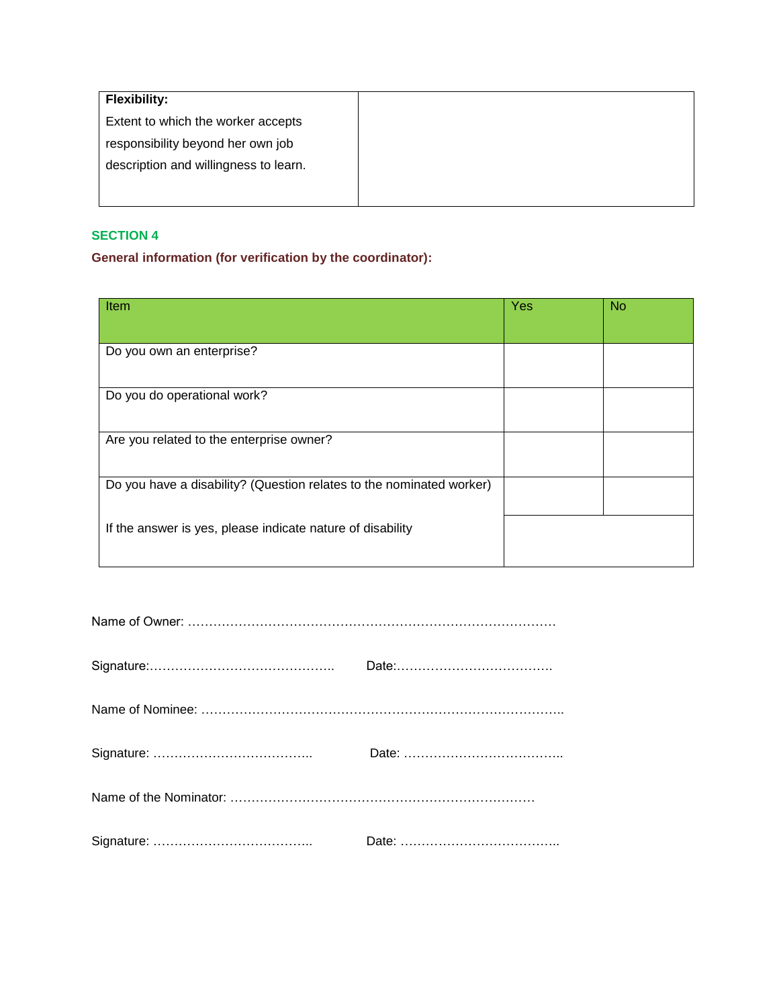## **General information (for verification by the coordinator):**

| Item                                                                 | <b>Yes</b> | <b>No</b> |
|----------------------------------------------------------------------|------------|-----------|
|                                                                      |            |           |
| Do you own an enterprise?                                            |            |           |
|                                                                      |            |           |
| Do you do operational work?                                          |            |           |
|                                                                      |            |           |
| Are you related to the enterprise owner?                             |            |           |
|                                                                      |            |           |
| Do you have a disability? (Question relates to the nominated worker) |            |           |
|                                                                      |            |           |
| If the answer is yes, please indicate nature of disability           |            |           |
|                                                                      |            |           |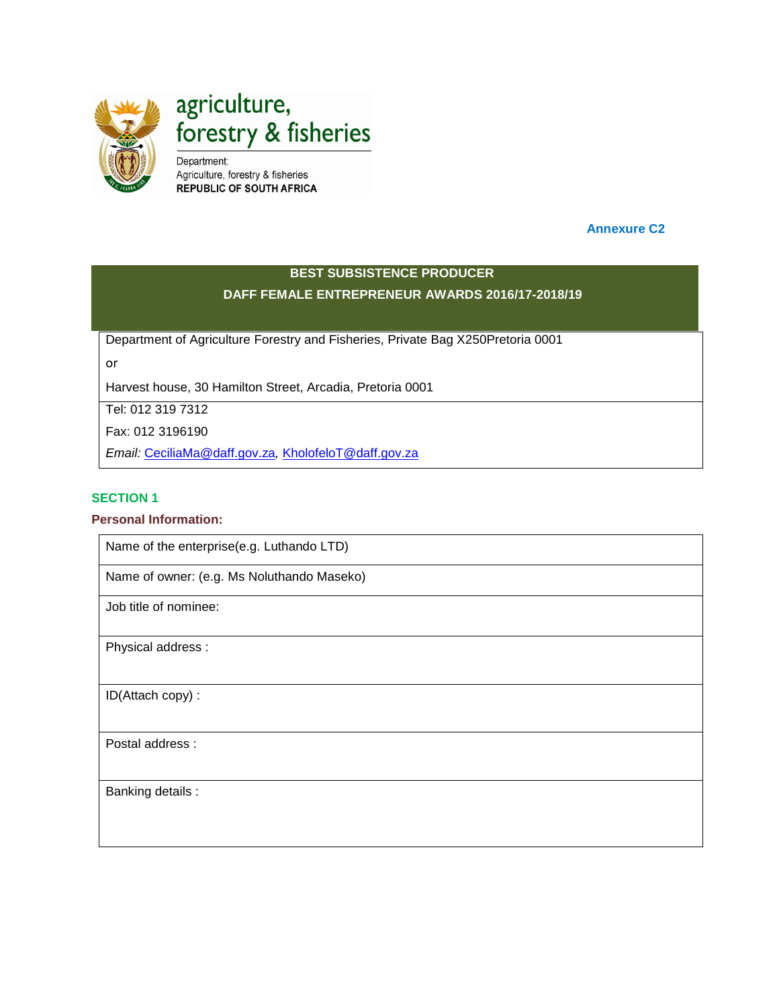

 **Annexure C2**

## **BEST SUBSISTENCE PRODUCER DAFF FEMALE ENTREPRENEUR AWARDS 2016/17-2018/19**

Department of Agriculture Forestry and Fisheries, Private Bag X250Pretoria 0001

or

Harvest house, 30 Hamilton Street, Arcadia, Pretoria 0001

Tel: 012 319 7312

Fax: 012 3196190

*Email:* [CeciliaMa@daff.gov.za](mailto:CeciliaMa@daff.gov.za)*,* [KholofeloT@daff.gov.za](mailto:KholofeloT@daff.gov.za)

#### **SECTION 1**

#### **Personal Information:**

Name of the enterprise(e.g. Luthando LTD)

Name of owner: (e.g. Ms Noluthando Maseko)

Job title of nominee:

Physical address :

ID(Attach copy) :

Postal address :

Banking details :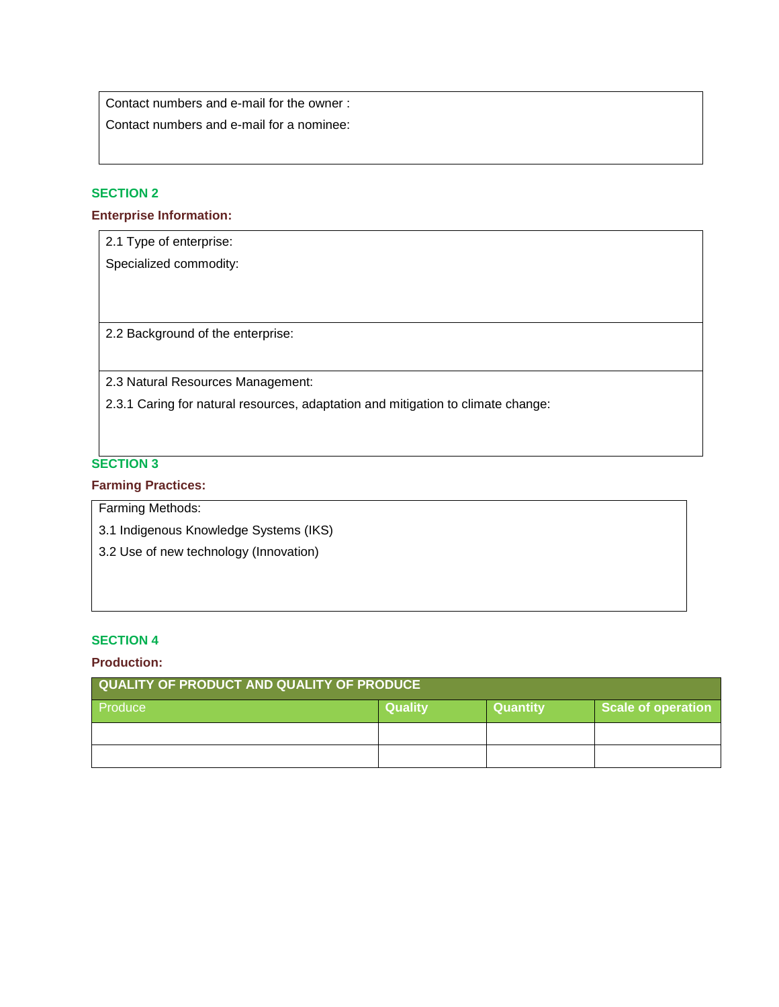Contact numbers and e-mail for the owner :

Contact numbers and e-mail for a nominee:

## **SECTION 2**

#### **Enterprise Information:**

2.1 Type of enterprise:

Specialized commodity:

2.2 Background of the enterprise:

2.3 Natural Resources Management:

2.3.1 Caring for natural resources, adaptation and mitigation to climate change:

## **SECTION 3**

#### **Farming Practices:**

Farming Methods:

3.1 Indigenous Knowledge Systems (IKS)

3.2 Use of new technology (Innovation)

### **SECTION 4**

#### **Production:**

| QUALITY OF PRODUCT AND QUALITY OF PRODUCE |                |                 |                    |
|-------------------------------------------|----------------|-----------------|--------------------|
| Produce                                   | <b>Quality</b> | <b>Quantity</b> | Scale of operation |
|                                           |                |                 |                    |
|                                           |                |                 |                    |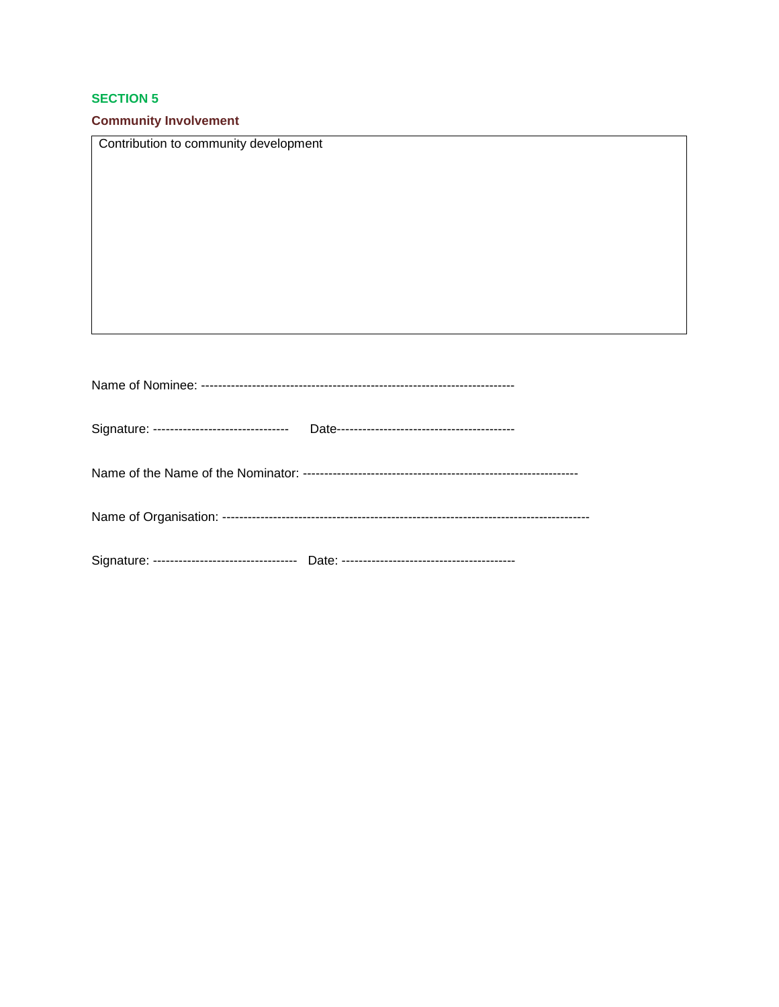## **Community Involvement**

| Contribution to community development       |
|---------------------------------------------|
|                                             |
|                                             |
|                                             |
|                                             |
|                                             |
|                                             |
|                                             |
|                                             |
|                                             |
|                                             |
|                                             |
|                                             |
| Signature: -------------------------------- |
|                                             |
|                                             |
|                                             |
|                                             |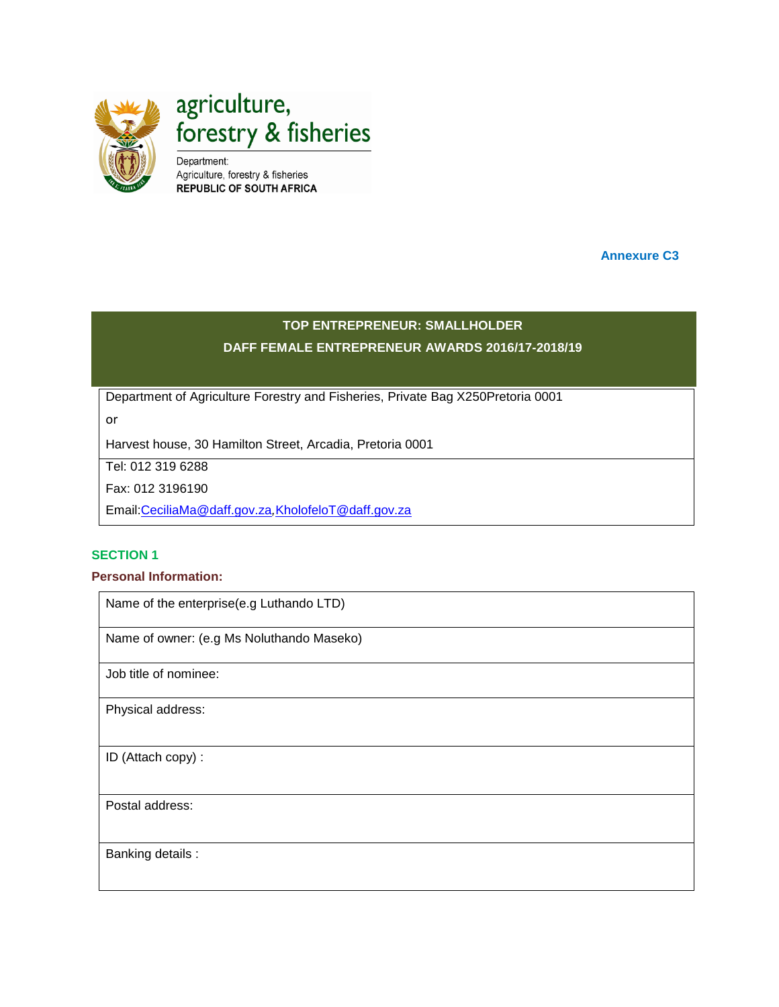

**Annexure C3**

## **TOP ENTREPRENEUR: SMALLHOLDER DAFF FEMALE ENTREPRENEUR AWARDS 2016/17-2018/19**

Department of Agriculture Forestry and Fisheries, Private Bag X250Pretoria 0001

or

Harvest house, 30 Hamilton Street, Arcadia, Pretoria 0001

Tel: 012 319 6288

Fax: 012 3196190

Email[:CeciliaMa@daff.gov.za](mailto:CeciliaMa@daff.gov.za)*,*[KholofeloT@daff.gov.za](mailto:KholofeloT@daff.gov.za)

#### **SECTION 1**

### **Personal Information:**

Name of the enterprise(e.g Luthando LTD) Name of owner: (e.g Ms Noluthando Maseko) Job title of nominee: Physical address: ID (Attach copy) : Postal address: Banking details :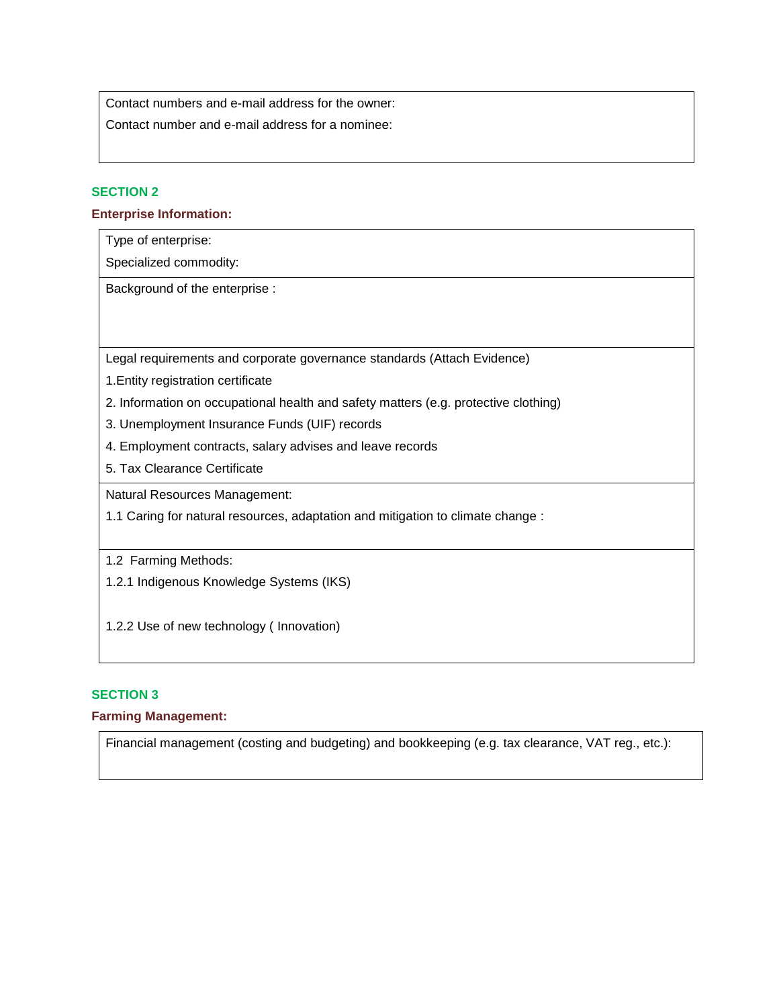Contact numbers and e-mail address for the owner:

Contact number and e-mail address for a nominee:

### **SECTION 2**

#### **Enterprise Information:**

Type of enterprise:

Specialized commodity:

Background of the enterprise :

Legal requirements and corporate governance standards (Attach Evidence)

- 1.Entity registration certificate
- 2. Information on occupational health and safety matters (e.g. protective clothing)
- 3. Unemployment Insurance Funds (UIF) records
- 4. Employment contracts, salary advises and leave records
- 5. Tax Clearance Certificate

Natural Resources Management:

1.1 Caring for natural resources, adaptation and mitigation to climate change :

1.2 Farming Methods:

1.2.1 Indigenous Knowledge Systems (IKS)

1.2.2 Use of new technology ( Innovation)

### **SECTION 3**

#### **Farming Management:**

Financial management (costing and budgeting) and bookkeeping (e.g. tax clearance, VAT reg., etc.):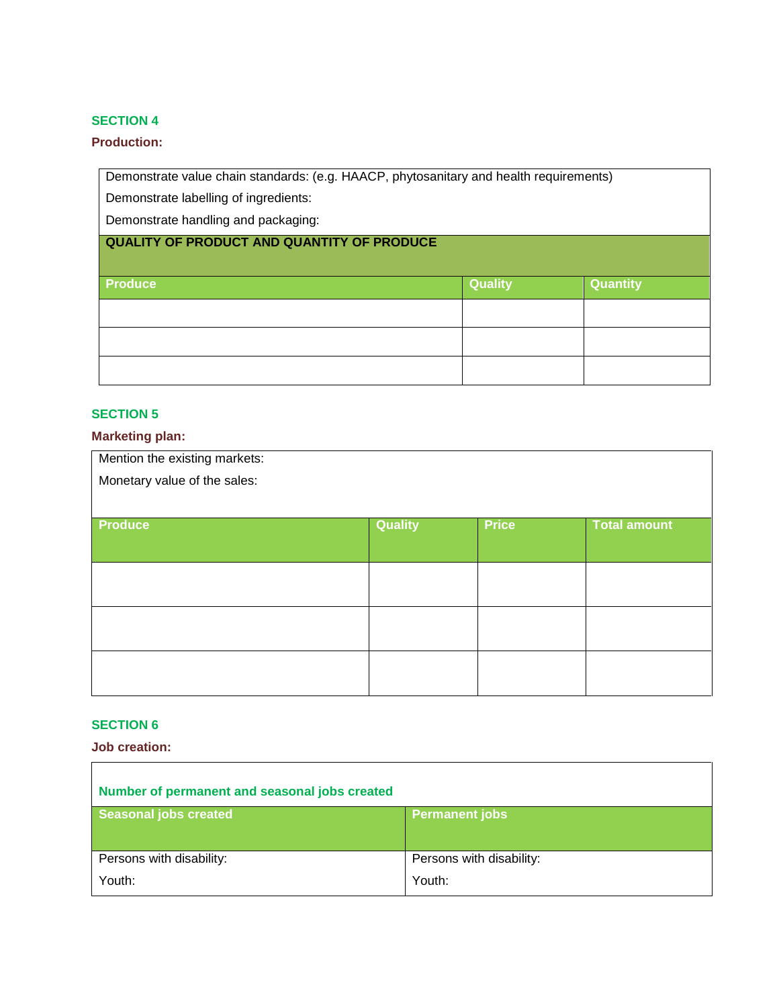### **Production:**

Demonstrate value chain standards: (e.g. HAACP, phytosanitary and health requirements)

Demonstrate labelling of ingredients:

Demonstrate handling and packaging:

## **QUALITY OF PRODUCT AND QUANTITY OF PRODUCE**

| Produce | <b>Quality</b> | Quantity |
|---------|----------------|----------|
|         |                |          |
|         |                |          |
|         |                |          |

## **SECTION 5**

## **Marketing plan:**

| Mention the existing markets: |                |              |                     |
|-------------------------------|----------------|--------------|---------------------|
| Monetary value of the sales:  |                |              |                     |
|                               |                |              |                     |
| <b>Produce</b>                | <b>Quality</b> | <b>Price</b> | <b>Total amount</b> |
|                               |                |              |                     |
|                               |                |              |                     |
|                               |                |              |                     |
|                               |                |              |                     |
|                               |                |              |                     |
|                               |                |              |                     |
|                               |                |              |                     |

## **SECTION 6**

**Job creation:**

| Number of permanent and seasonal jobs created |                          |
|-----------------------------------------------|--------------------------|
| Seasonal jobs created                         | <b>Permanent jobs</b>    |
|                                               |                          |
| Persons with disability:                      | Persons with disability: |
| Youth:                                        | Youth:                   |
|                                               |                          |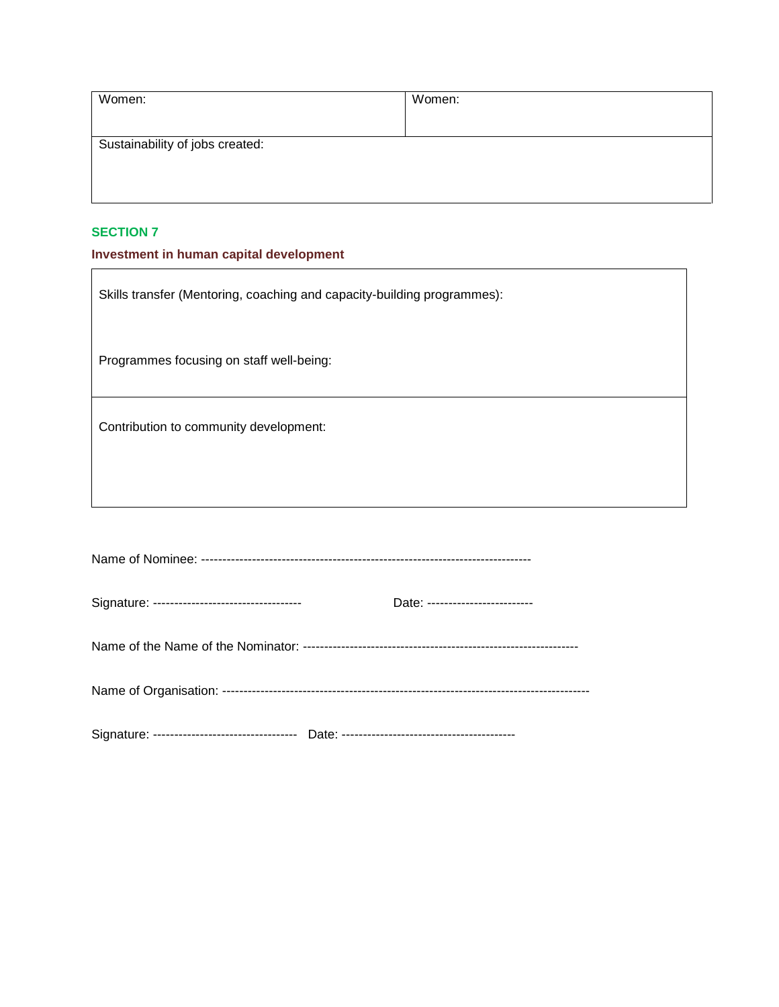| Women:                          | Women: |
|---------------------------------|--------|
|                                 |        |
| Sustainability of jobs created: |        |
|                                 |        |
|                                 |        |

## **Investment in human capital development**

| Skills transfer (Mentoring, coaching and capacity-building programmes): |                                  |  |
|-------------------------------------------------------------------------|----------------------------------|--|
| Programmes focusing on staff well-being:                                |                                  |  |
| Contribution to community development:                                  |                                  |  |
|                                                                         |                                  |  |
|                                                                         |                                  |  |
| Signature: -----------------------------------                          | Date: -------------------------- |  |

Name of the Name of the Nominator: -----------------------------------------------------------------

Name of Organisation: ---------------------------------------------------------------------------------------

Signature: ---------------------------------- Date: -----------------------------------------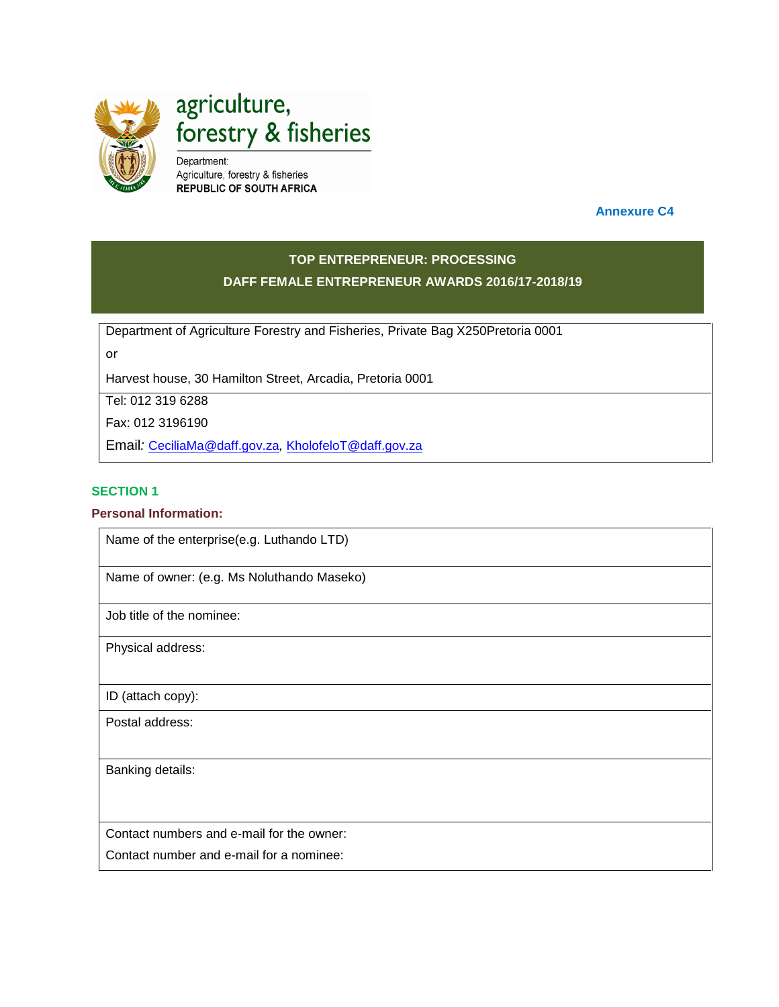

agriculture, forestry & fisheries

Department: Agriculture, forestry & fisheries **REPUBLIC OF SOUTH AFRICA** 

 **Annexure C4**

## **TOP ENTREPRENEUR: PROCESSING DAFF FEMALE ENTREPRENEUR AWARDS 2016/17-2018/19**

Department of Agriculture Forestry and Fisheries, Private Bag X250Pretoria 0001

or

Harvest house, 30 Hamilton Street, Arcadia, Pretoria 0001

Tel: 012 319 6288

Fax: 012 3196190

Email*:* [CeciliaMa@daff.gov.za](mailto:CeciliaMa@daff.gov.za)*,* [KholofeloT@daff.gov.za](mailto:KholofeloT@daff.gov.za)

#### **SECTION 1**

#### **Personal Information:**

Name of the enterprise(e.g. Luthando LTD)

Name of owner: (e.g. Ms Noluthando Maseko)

Job title of the nominee:

Physical address:

ID (attach copy):

Postal address:

Banking details:

Contact numbers and e-mail for the owner:

Contact number and e-mail for a nominee: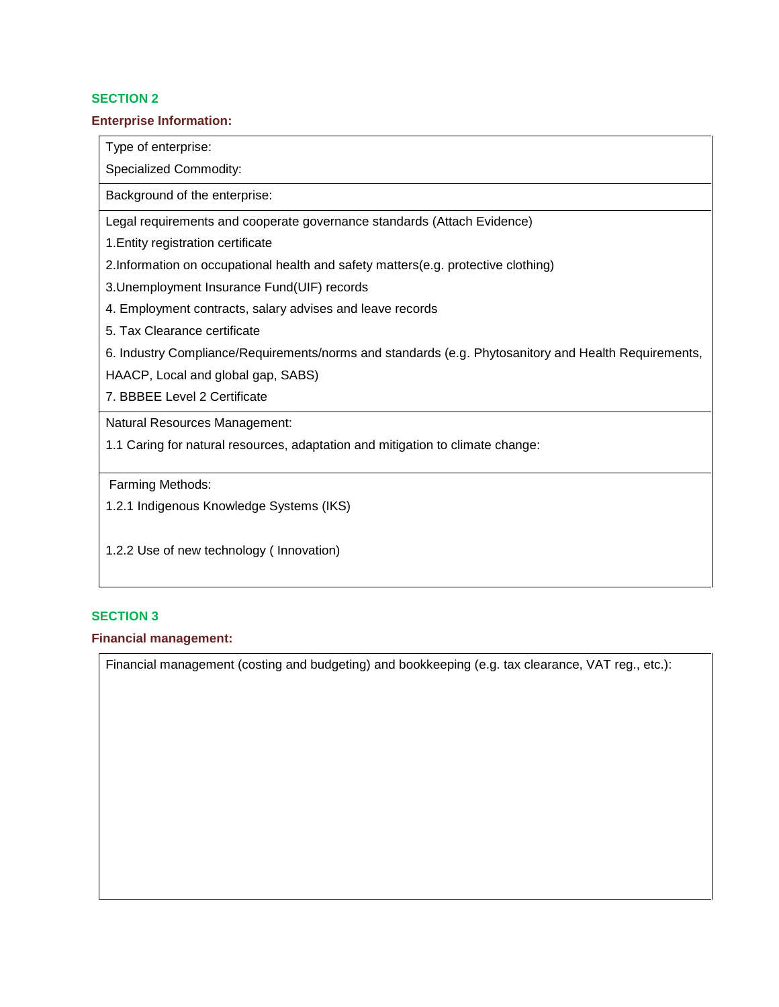#### **Enterprise Information:**

Type of enterprise:

Specialized Commodity:

Background of the enterprise:

Legal requirements and cooperate governance standards (Attach Evidence)

1.Entity registration certificate

2.Information on occupational health and safety matters(e.g. protective clothing)

3.Unemployment Insurance Fund(UIF) records

4. Employment contracts, salary advises and leave records

5. Tax Clearance certificate

6. Industry Compliance/Requirements/norms and standards (e.g. Phytosanitory and Health Requirements,

HAACP, Local and global gap, SABS)

7. BBBEE Level 2 Certificate

Natural Resources Management:

1.1 Caring for natural resources, adaptation and mitigation to climate change:

Farming Methods:

1.2.1 Indigenous Knowledge Systems (IKS)

1.2.2 Use of new technology ( Innovation)

#### **SECTION 3**

#### **Financial management:**

Financial management (costing and budgeting) and bookkeeping (e.g. tax clearance, VAT reg., etc.):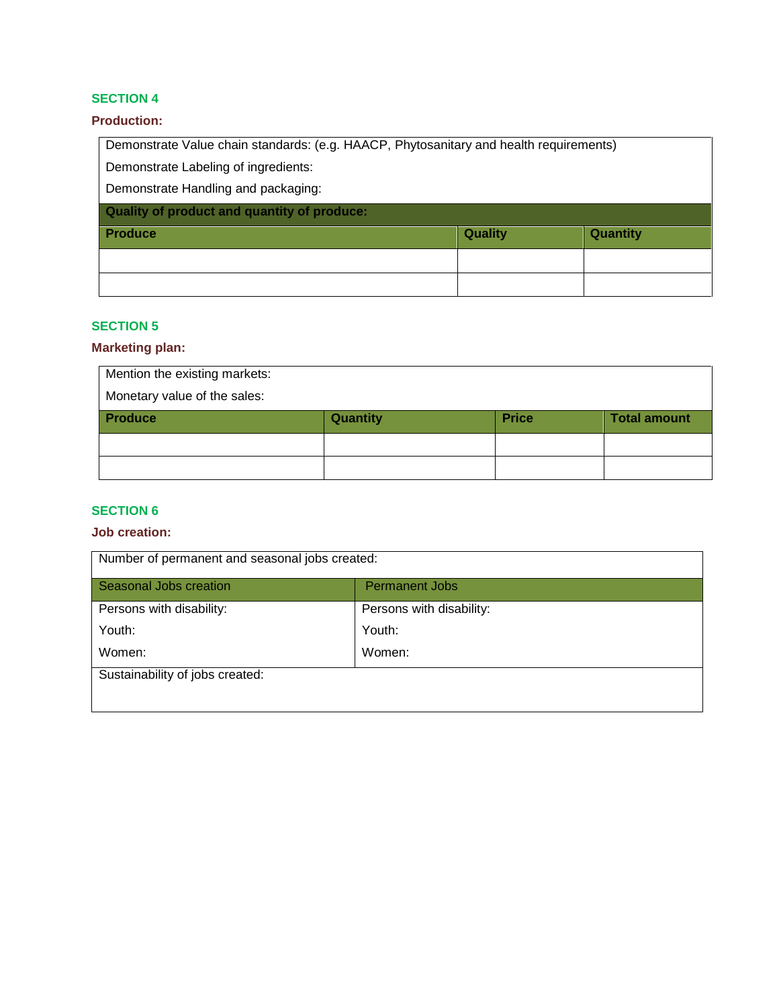## **Production:**

Demonstrate Value chain standards: (e.g. HAACP, Phytosanitary and health requirements) Demonstrate Labeling of ingredients:

Demonstrate Handling and packaging:

| Quality of product and quantity of produce: |                |                 |
|---------------------------------------------|----------------|-----------------|
| <b>Produce</b>                              | <b>Quality</b> | <b>Quantity</b> |
|                                             |                |                 |
|                                             |                |                 |

## **SECTION 5**

#### **Marketing plan:**

| Mention the existing markets:<br>Monetary value of the sales: |                 |              |                     |
|---------------------------------------------------------------|-----------------|--------------|---------------------|
| <b>Produce</b>                                                | <b>Quantity</b> | <b>Price</b> | <b>Total amount</b> |
|                                                               |                 |              |                     |
|                                                               |                 |              |                     |

## **SECTION 6**

## **Job creation:**

| Number of permanent and seasonal jobs created: |                          |
|------------------------------------------------|--------------------------|
| Seasonal Jobs creation                         | <b>Permanent Jobs</b>    |
| Persons with disability:                       | Persons with disability: |
| Youth:                                         | Youth:                   |
| Women:                                         | Women:                   |
| Sustainability of jobs created:                |                          |
|                                                |                          |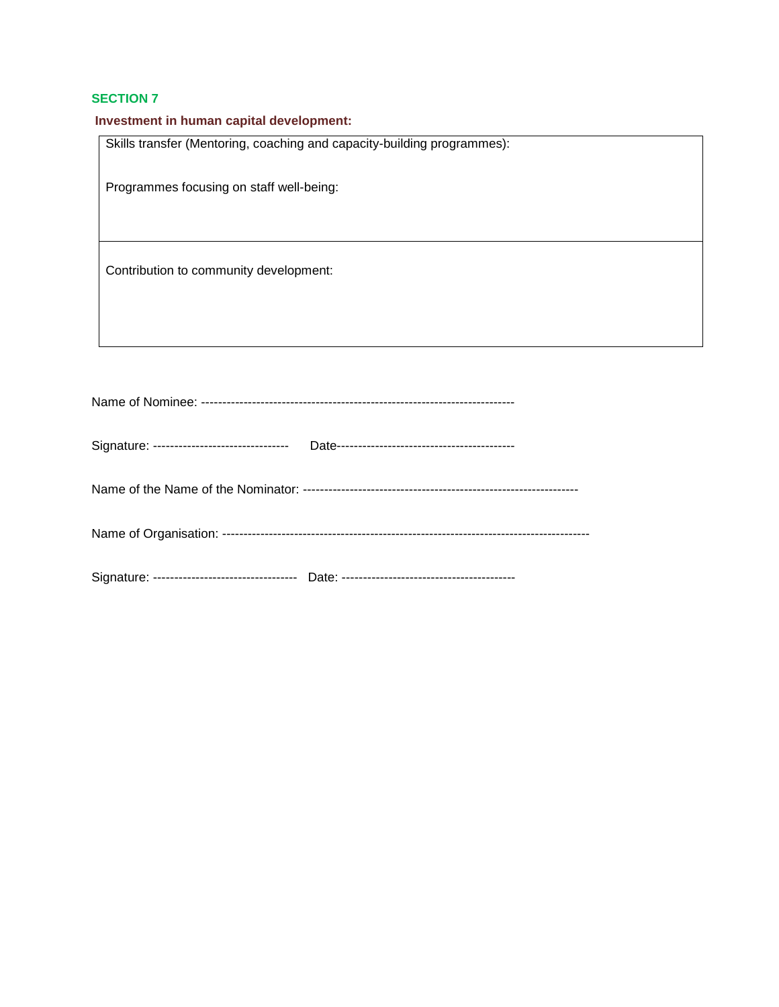| Investment in human capital development:                                |  |
|-------------------------------------------------------------------------|--|
| Skills transfer (Mentoring, coaching and capacity-building programmes): |  |
|                                                                         |  |
| Programmes focusing on staff well-being:                                |  |
|                                                                         |  |
|                                                                         |  |
|                                                                         |  |
| Contribution to community development:                                  |  |
|                                                                         |  |
|                                                                         |  |
|                                                                         |  |

| Signature: -------------------------------- |  |
|---------------------------------------------|--|
|                                             |  |
|                                             |  |
|                                             |  |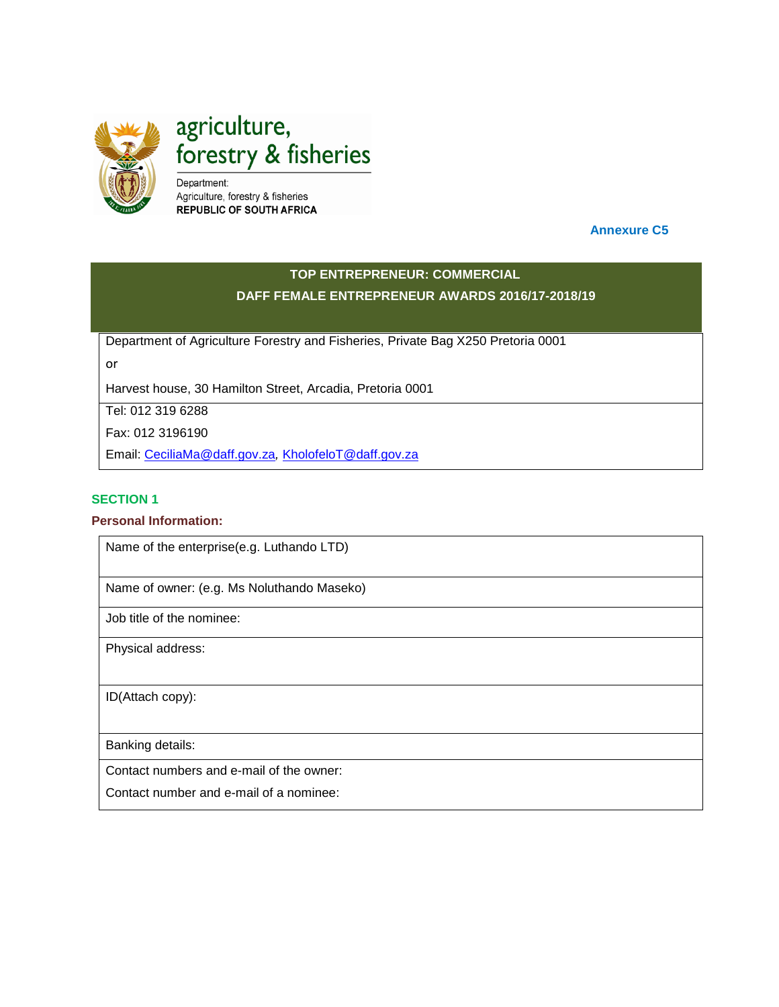

agriculture, forestry & fisheries

Department: Agriculture, forestry & fisheries **REPUBLIC OF SOUTH AFRICA** 

 **Annexure C5**

## **TOP ENTREPRENEUR: COMMERCIAL DAFF FEMALE ENTREPRENEUR AWARDS 2016/17-2018/19**

Department of Agriculture Forestry and Fisheries, Private Bag X250 Pretoria 0001

or

Harvest house, 30 Hamilton Street, Arcadia, Pretoria 0001

Tel: 012 319 6288

Fax: 012 3196190

Email: [CeciliaMa@daff.gov.za](mailto:CeciliaMa@daff.gov.za)*,* [KholofeloT@daff.gov.za](mailto:KholofeloT@daff.gov.za)

## **SECTION 1**

## **Personal Information:**

Name of the enterprise(e.g. Luthando LTD)

Name of owner: (e.g. Ms Noluthando Maseko)

Job title of the nominee:

Physical address:

ID(Attach copy):

Banking details:

Contact numbers and e-mail of the owner:

Contact number and e-mail of a nominee: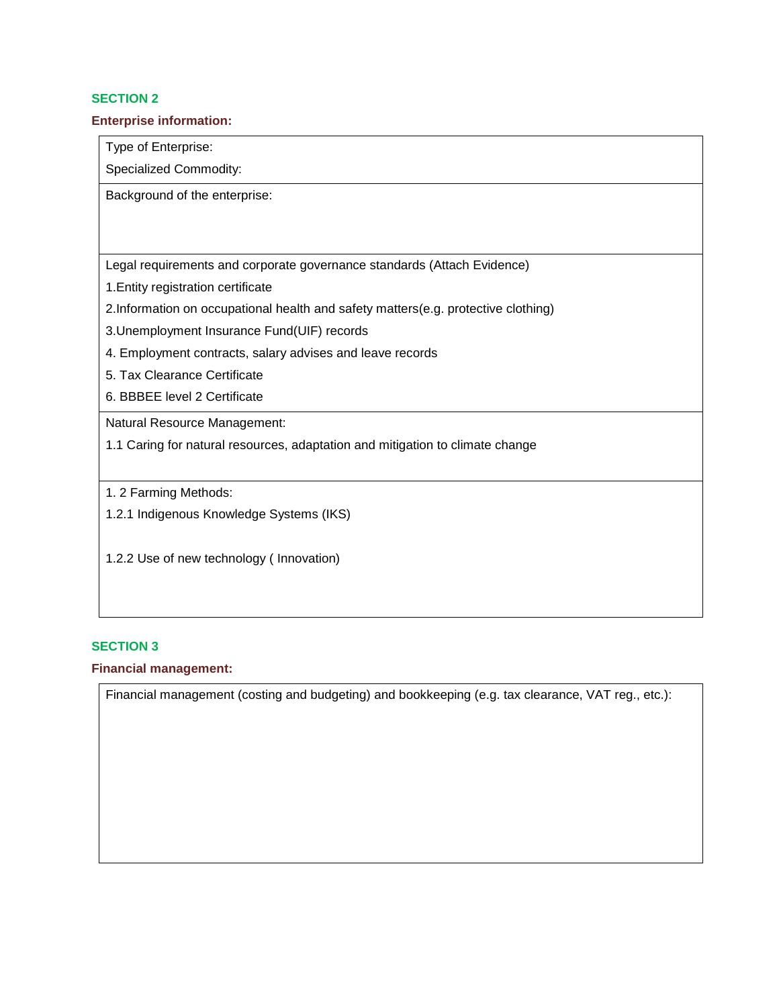#### **Enterprise information:**

Type of Enterprise:

Specialized Commodity:

Background of the enterprise:

Legal requirements and corporate governance standards (Attach Evidence)

1.Entity registration certificate

2.Information on occupational health and safety matters(e.g. protective clothing)

3.Unemployment Insurance Fund(UIF) records

- 4. Employment contracts, salary advises and leave records
- 5. Tax Clearance Certificate
- 6. BBBEE level 2 Certificate

Natural Resource Management:

1.1 Caring for natural resources, adaptation and mitigation to climate change

1. 2 Farming Methods:

1.2.1 Indigenous Knowledge Systems (IKS)

1.2.2 Use of new technology ( Innovation)

### **SECTION 3**

#### **Financial management:**

Financial management (costing and budgeting) and bookkeeping (e.g. tax clearance, VAT reg., etc.):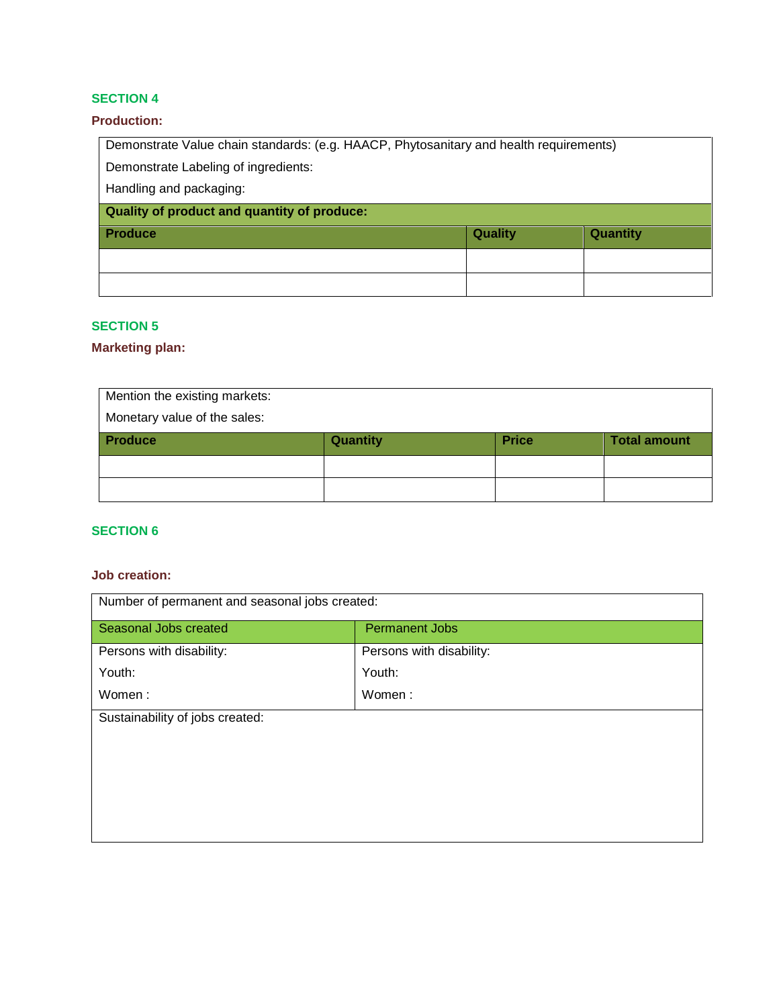### **Production:**

Demonstrate Value chain standards: (e.g. HAACP, Phytosanitary and health requirements) Demonstrate Labeling of ingredients: Handling and packaging: **Quality of product and quantity of produce: Produce Quality Quantity**

## **SECTION 5**

#### **Marketing plan:**

| Mention the existing markets: |                 |              |                     |
|-------------------------------|-----------------|--------------|---------------------|
| Monetary value of the sales:  |                 |              |                     |
| <b>Produce</b>                | <b>Quantity</b> | <b>Price</b> | <b>Total amount</b> |
|                               |                 |              |                     |
|                               |                 |              |                     |

## **SECTION 6**

#### **Job creation:**

| Number of permanent and seasonal jobs created: |                          |
|------------------------------------------------|--------------------------|
| Seasonal Jobs created                          | <b>Permanent Jobs</b>    |
| Persons with disability:                       | Persons with disability: |
| Youth:                                         | Youth:                   |
| Women:                                         | Women:                   |
| Sustainability of jobs created:                |                          |
|                                                |                          |
|                                                |                          |
|                                                |                          |
|                                                |                          |
|                                                |                          |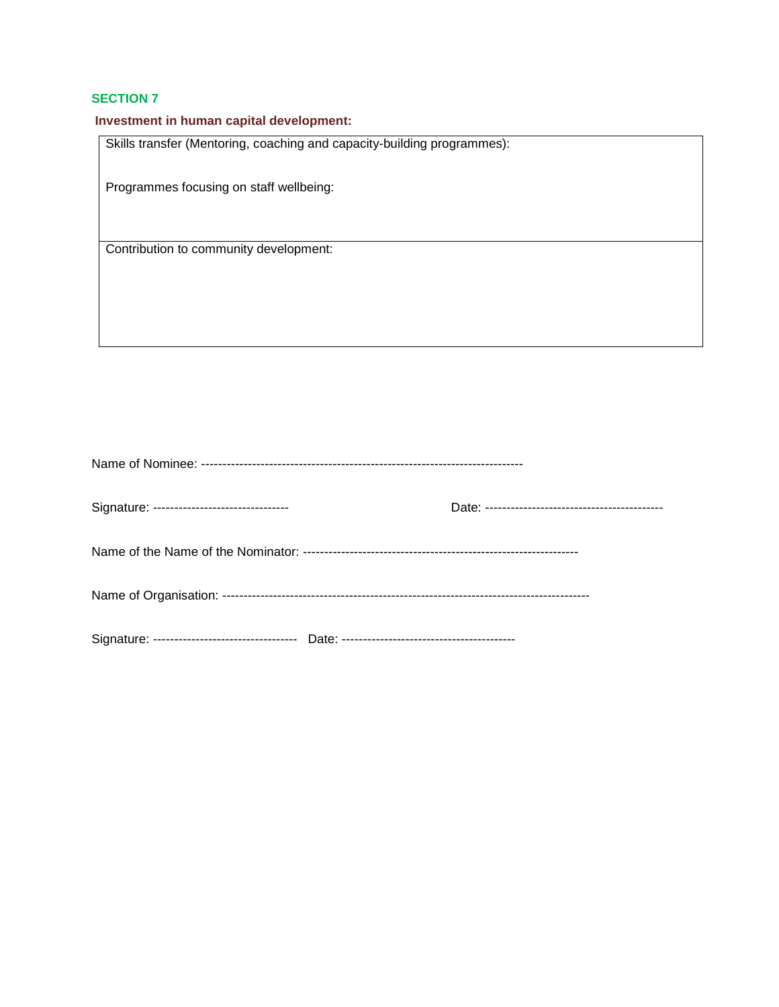## **Investment in human capital development:**

Skills transfer (Mentoring, coaching and capacity-building programmes):

Programmes focusing on staff wellbeing:

Contribution to community development:

| Signature: --------------------------------- |  |
|----------------------------------------------|--|
|                                              |  |
|                                              |  |
|                                              |  |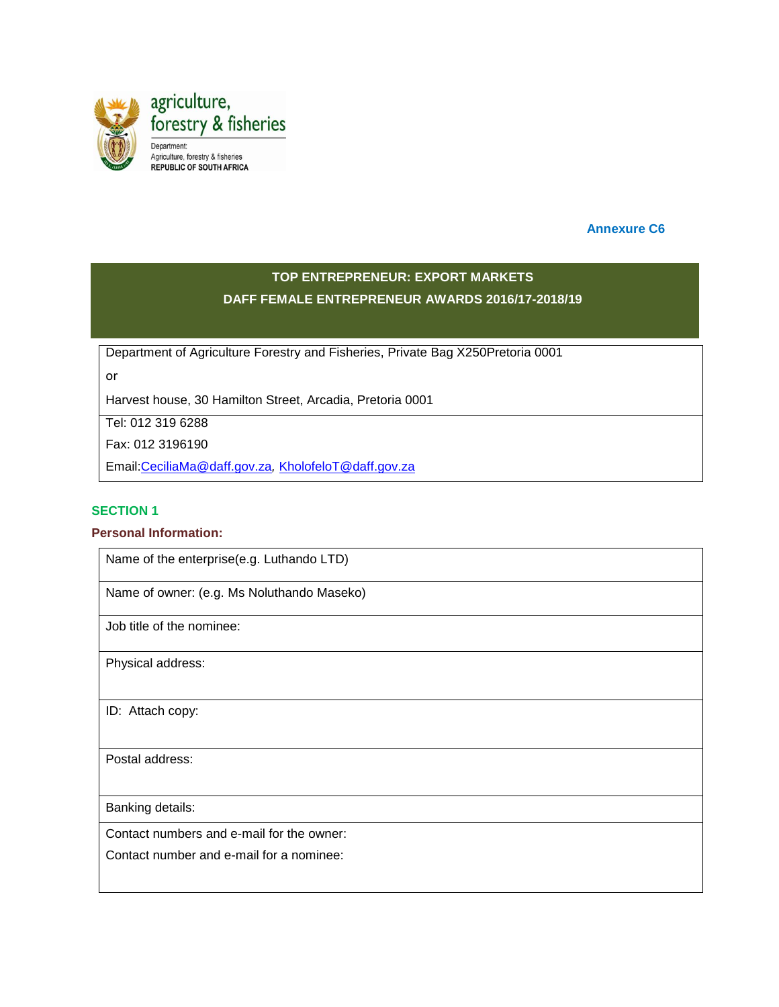

 **Annexure C6**

## **TOP ENTREPRENEUR: EXPORT MARKETS DAFF FEMALE ENTREPRENEUR AWARDS 2016/17-2018/19**

Department of Agriculture Forestry and Fisheries, Private Bag X250Pretoria 0001

or

Harvest house, 30 Hamilton Street, Arcadia, Pretoria 0001

Tel: 012 319 6288

Fax: 012 3196190

Email[:CeciliaMa@daff.gov.za](mailto:CeciliaMa@daff.gov.za)*,* [KholofeloT@daff.gov.za](mailto:KholofeloT@daff.gov.za)

#### **SECTION 1**

#### **Personal Information:**

Name of the enterprise(e.g. Luthando LTD)

Name of owner: (e.g. Ms Noluthando Maseko)

Job title of the nominee:

Physical address:

ID: Attach copy:

Postal address:

Banking details:

Contact numbers and e-mail for the owner:

Contact number and e-mail for a nominee: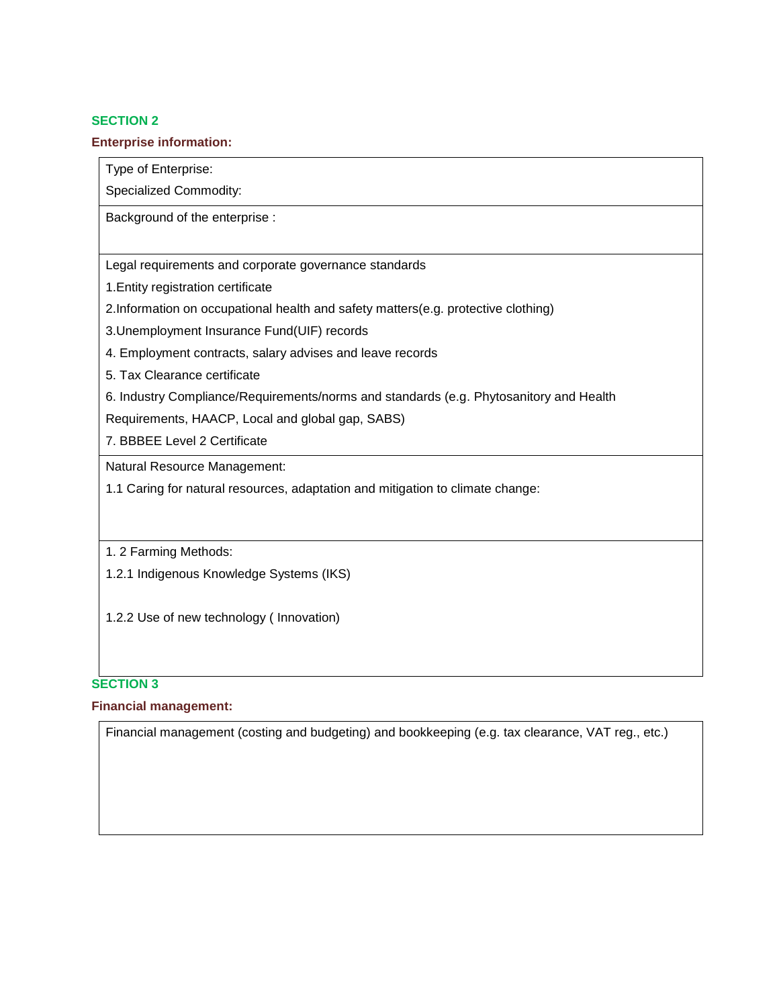#### **Enterprise information:**

Type of Enterprise:

Specialized Commodity:

Background of the enterprise :

Legal requirements and corporate governance standards

1.Entity registration certificate

2.Information on occupational health and safety matters(e.g. protective clothing)

3.Unemployment Insurance Fund(UIF) records

- 4. Employment contracts, salary advises and leave records
- 5. Tax Clearance certificate
- 6. Industry Compliance/Requirements/norms and standards (e.g. Phytosanitory and Health

Requirements, HAACP, Local and global gap, SABS)

7. BBBEE Level 2 Certificate

Natural Resource Management:

1.1 Caring for natural resources, adaptation and mitigation to climate change:

1. 2 Farming Methods:

1.2.1 Indigenous Knowledge Systems (IKS)

1.2.2 Use of new technology ( Innovation)

#### **SECTION 3**

### **Financial management:**

Financial management (costing and budgeting) and bookkeeping (e.g. tax clearance, VAT reg., etc.)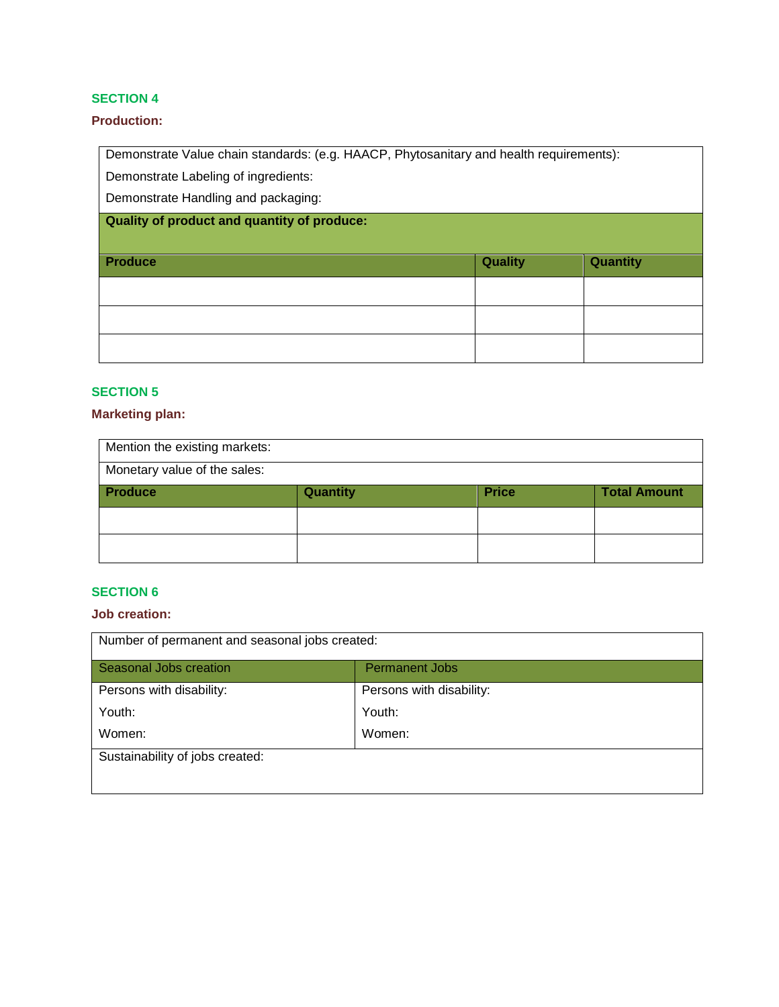### **Production:**

Demonstrate Value chain standards: (e.g. HAACP, Phytosanitary and health requirements):

Demonstrate Labeling of ingredients:

Demonstrate Handling and packaging:

**Quality of product and quantity of produce:** 

| <b>Produce</b> | Quality | <b>Quantity</b> |
|----------------|---------|-----------------|
|                |         |                 |
|                |         |                 |
|                |         |                 |

## **SECTION 5**

#### **Marketing plan:**

| Mention the existing markets: |          |              |                     |
|-------------------------------|----------|--------------|---------------------|
| Monetary value of the sales:  |          |              |                     |
| <b>Produce</b>                | Quantity | <b>Price</b> | <b>Total Amount</b> |
|                               |          |              |                     |
|                               |          |              |                     |

### **SECTION 6**

### **Job creation:**

| Number of permanent and seasonal jobs created: |                          |
|------------------------------------------------|--------------------------|
| Seasonal Jobs creation                         | <b>Permanent Jobs</b>    |
| Persons with disability:                       | Persons with disability: |
| Youth:                                         | Youth:                   |
| Women:                                         | Women:                   |
| Sustainability of jobs created:                |                          |
|                                                |                          |